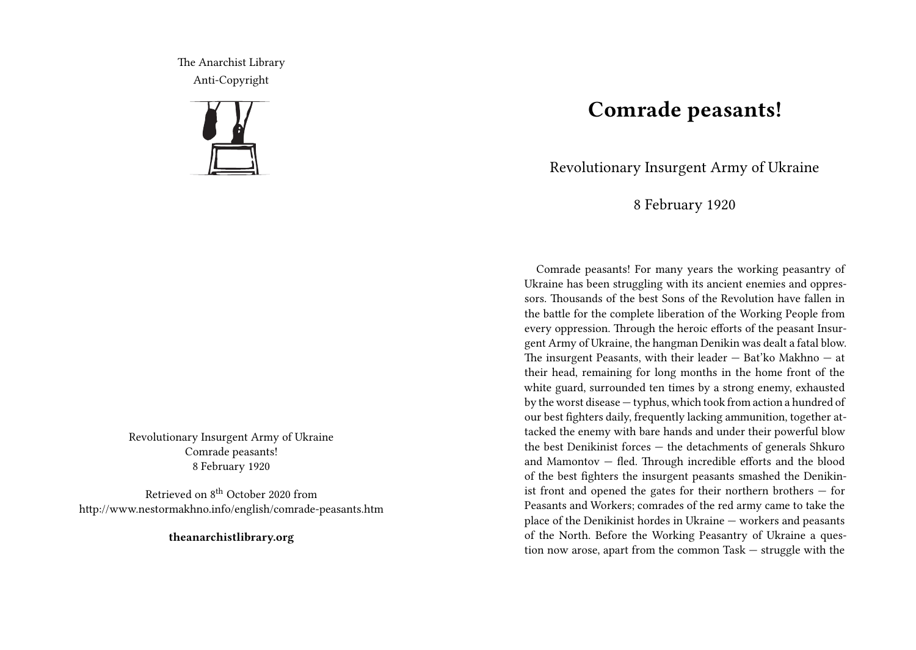The Anarchist Library Anti-Copyright



Revolutionary Insurgent Army of Ukraine Comrade peasants! 8 February 1920

Retrieved on 8th October 2020 from http://www.nestormakhno.info/english/comrade-peasants.htm

**theanarchistlibrary.org**

## **Comrade peasants!**

Revolutionary Insurgent Army of Ukraine

8 February 1920

Comrade peasants! For many years the working peasantry of Ukraine has been struggling with its ancient enemies and oppressors. Thousands of the best Sons of the Revolution have fallen in the battle for the complete liberation of the Working People from every oppression. Through the heroic efforts of the peasant Insurgent Army of Ukraine, the hangman Denikin was dealt a fatal blow. The insurgent Peasants, with their leader — Bat'ko Makhno — at their head, remaining for long months in the home front of the white guard, surrounded ten times by a strong enemy, exhausted by the worst disease — typhus, which took from action a hundred of our best fighters daily, frequently lacking ammunition, together attacked the enemy with bare hands and under their powerful blow the best Denikinist forces — the detachments of generals Shkuro and Mamontov — fled. Through incredible efforts and the blood of the best fighters the insurgent peasants smashed the Denikinist front and opened the gates for their northern brothers — for Peasants and Workers; comrades of the red army came to take the place of the Denikinist hordes in Ukraine — workers and peasants of the North. Before the Working Peasantry of Ukraine a question now arose, apart from the common Task — struggle with the